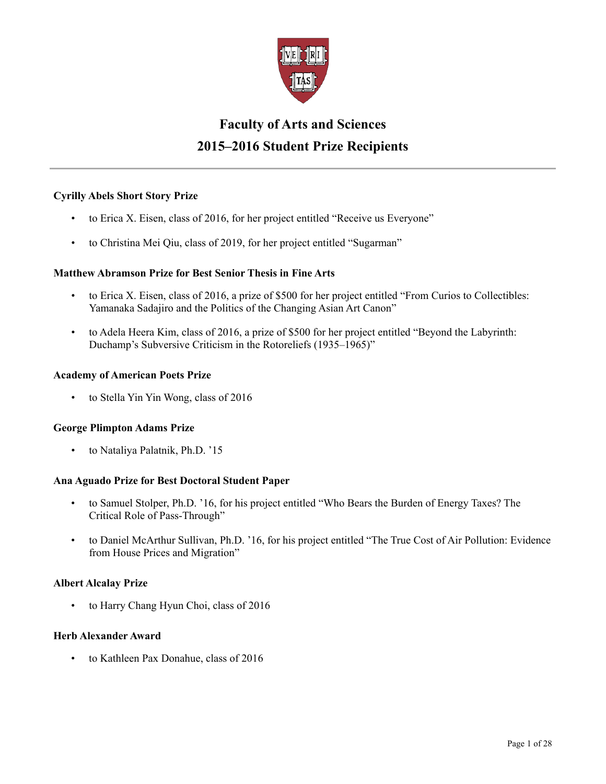

# **Faculty of Arts and Sciences 2015–2016 Student Prize Recipients**

# **Cyrilly Abels Short Story Prize**

- to Erica X. Eisen, class of 2016, for her project entitled "Receive us Everyone"
- to Christina Mei Qiu, class of 2019, for her project entitled "Sugarman"

# **Matthew Abramson Prize for Best Senior Thesis in Fine Arts**

- to Erica X. Eisen, class of 2016, a prize of \$500 for her project entitled "From Curios to Collectibles: Yamanaka Sadajiro and the Politics of the Changing Asian Art Canon"
- to Adela Heera Kim, class of 2016, a prize of \$500 for her project entitled "Beyond the Labyrinth: Duchamp's Subversive Criticism in the Rotoreliefs (1935–1965)"

### **Academy of American Poets Prize**

• to Stella Yin Yin Wong, class of 2016

# **George Plimpton Adams Prize**

• to Nataliya Palatnik, Ph.D. '15

# **Ana Aguado Prize for Best Doctoral Student Paper**

- to Samuel Stolper, Ph.D. '16, for his project entitled "Who Bears the Burden of Energy Taxes? The Critical Role of Pass-Through"
- to Daniel McArthur Sullivan, Ph.D. '16, for his project entitled "The True Cost of Air Pollution: Evidence from House Prices and Migration"

# **Albert Alcalay Prize**

• to Harry Chang Hyun Choi, class of 2016

# **Herb Alexander Award**

• to Kathleen Pax Donahue, class of 2016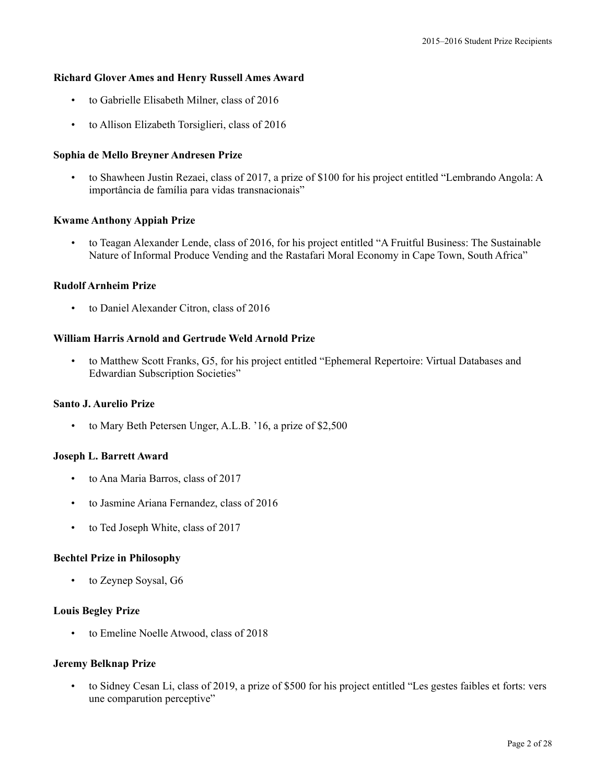#### **Richard Glover Ames and Henry Russell Ames Award**

- to Gabrielle Elisabeth Milner, class of 2016
- to Allison Elizabeth Torsiglieri, class of 2016

#### **Sophia de Mello Breyner Andresen Prize**

• to Shawheen Justin Rezaei, class of 2017, a prize of \$100 for his project entitled "Lembrando Angola: A importância de família para vidas transnacionais"

#### **Kwame Anthony Appiah Prize**

• to Teagan Alexander Lende, class of 2016, for his project entitled "A Fruitful Business: The Sustainable Nature of Informal Produce Vending and the Rastafari Moral Economy in Cape Town, South Africa"

#### **Rudolf Arnheim Prize**

• to Daniel Alexander Citron, class of 2016

# **William Harris Arnold and Gertrude Weld Arnold Prize**

• to Matthew Scott Franks, G5, for his project entitled "Ephemeral Repertoire: Virtual Databases and Edwardian Subscription Societies"

### **Santo J. Aurelio Prize**

• to Mary Beth Petersen Unger, A.L.B. '16, a prize of \$2,500

#### **Joseph L. Barrett Award**

- to Ana Maria Barros, class of 2017
- to Jasmine Ariana Fernandez, class of 2016
- to Ted Joseph White, class of 2017

#### **Bechtel Prize in Philosophy**

to Zeynep Soysal, G6

### **Louis Begley Prize**

• to Emeline Noelle Atwood, class of 2018

#### **Jeremy Belknap Prize**

• to Sidney Cesan Li, class of 2019, a prize of \$500 for his project entitled "Les gestes faibles et forts: vers une comparution perceptive"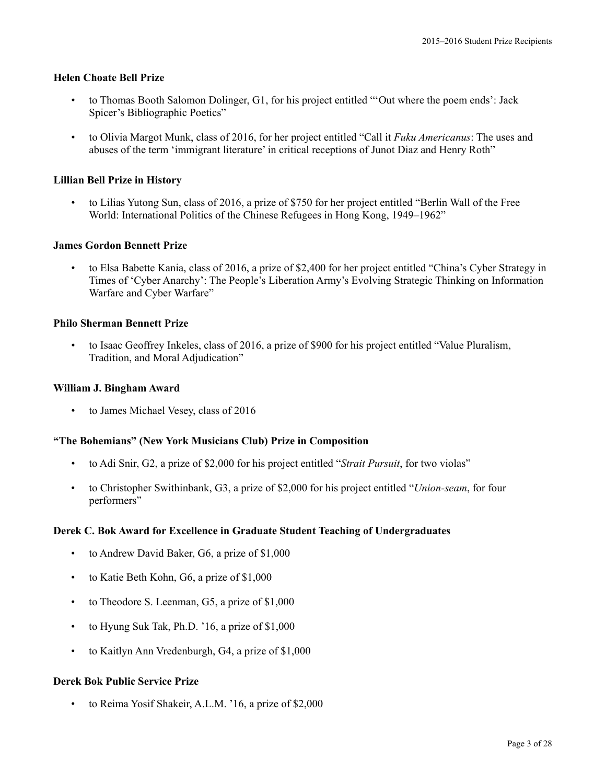### **Helen Choate Bell Prize**

- to Thomas Booth Salomon Dolinger, G1, for his project entitled "'Out where the poem ends': Jack Spicer's Bibliographic Poetics"
- to Olivia Margot Munk, class of 2016, for her project entitled "Call it *Fuku Americanus*: The uses and abuses of the term 'immigrant literature' in critical receptions of Junot Diaz and Henry Roth"

### **Lillian Bell Prize in History**

• to Lilias Yutong Sun, class of 2016, a prize of \$750 for her project entitled "Berlin Wall of the Free World: International Politics of the Chinese Refugees in Hong Kong, 1949–1962"

#### **James Gordon Bennett Prize**

• to Elsa Babette Kania, class of 2016, a prize of \$2,400 for her project entitled "China's Cyber Strategy in Times of 'Cyber Anarchy': The People's Liberation Army's Evolving Strategic Thinking on Information Warfare and Cyber Warfare"

### **Philo Sherman Bennett Prize**

• to Isaac Geoffrey Inkeles, class of 2016, a prize of \$900 for his project entitled "Value Pluralism, Tradition, and Moral Adjudication"

#### **William J. Bingham Award**

• to James Michael Vesey, class of 2016

#### **"The Bohemians" (New York Musicians Club) Prize in Composition**

- to Adi Snir, G2, a prize of \$2,000 for his project entitled "*Strait Pursuit*, for two violas"
- to Christopher Swithinbank, G3, a prize of \$2,000 for his project entitled "*Union-seam*, for four performers"

#### **Derek C. Bok Award for Excellence in Graduate Student Teaching of Undergraduates**

- to Andrew David Baker, G6, a prize of \$1,000
- to Katie Beth Kohn, G6, a prize of \$1,000
- to Theodore S. Leenman, G5, a prize of \$1,000
- to Hyung Suk Tak, Ph.D. '16, a prize of \$1,000
- to Kaitlyn Ann Vredenburgh, G4, a prize of \$1,000

# **Derek Bok Public Service Prize**

to Reima Yosif Shakeir, A.L.M. '16, a prize of \$2,000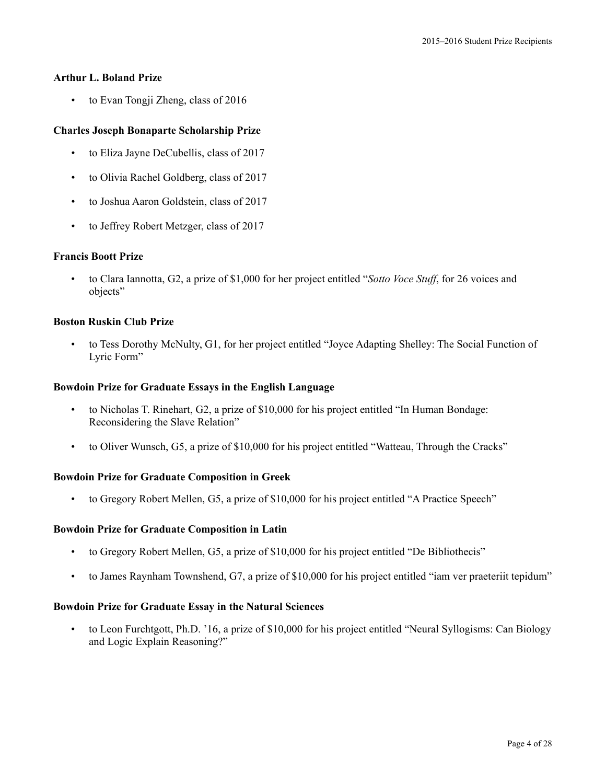### **Arthur L. Boland Prize**

• to Evan Tongji Zheng, class of 2016

# **Charles Joseph Bonaparte Scholarship Prize**

- to Eliza Jayne DeCubellis, class of 2017
- to Olivia Rachel Goldberg, class of 2017
- to Joshua Aaron Goldstein, class of 2017
- to Jeffrey Robert Metzger, class of 2017

# **Francis Boott Prize**

• to Clara Iannotta, G2, a prize of \$1,000 for her project entitled "*Sotto Voce Stuff*, for 26 voices and objects"

# **Boston Ruskin Club Prize**

• to Tess Dorothy McNulty, G1, for her project entitled "Joyce Adapting Shelley: The Social Function of Lyric Form"

### **Bowdoin Prize for Graduate Essays in the English Language**

- to Nicholas T. Rinehart, G2, a prize of \$10,000 for his project entitled "In Human Bondage: Reconsidering the Slave Relation"
- to Oliver Wunsch, G5, a prize of \$10,000 for his project entitled "Watteau, Through the Cracks"

# **Bowdoin Prize for Graduate Composition in Greek**

• to Gregory Robert Mellen, G5, a prize of \$10,000 for his project entitled "A Practice Speech"

# **Bowdoin Prize for Graduate Composition in Latin**

- to Gregory Robert Mellen, G5, a prize of \$10,000 for his project entitled "De Bibliothecis"
- to James Raynham Townshend, G7, a prize of \$10,000 for his project entitled "iam ver praeteriit tepidum"

# **Bowdoin Prize for Graduate Essay in the Natural Sciences**

• to Leon Furchtgott, Ph.D. '16, a prize of \$10,000 for his project entitled "Neural Syllogisms: Can Biology and Logic Explain Reasoning?"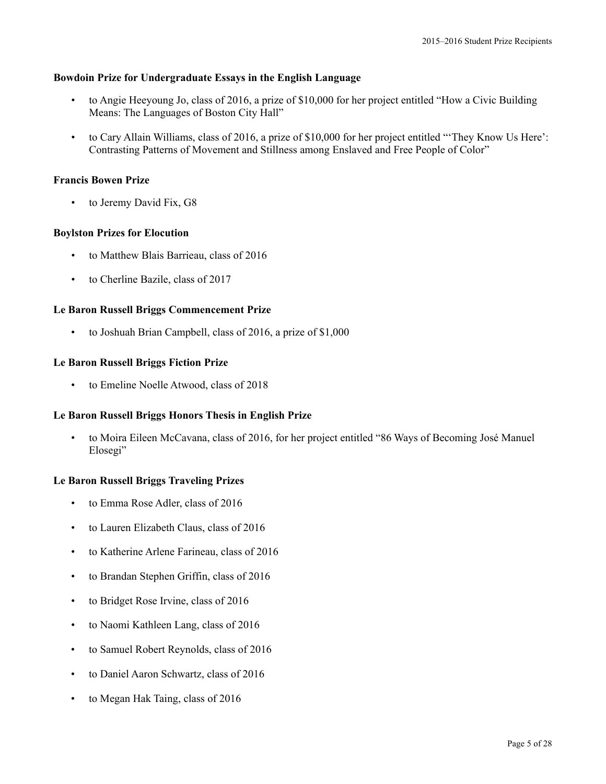### **Bowdoin Prize for Undergraduate Essays in the English Language**

- to Angie Heeyoung Jo, class of 2016, a prize of \$10,000 for her project entitled "How a Civic Building Means: The Languages of Boston City Hall"
- to Cary Allain Williams, class of 2016, a prize of \$10,000 for her project entitled "'They Know Us Here': Contrasting Patterns of Movement and Stillness among Enslaved and Free People of Color"

# **Francis Bowen Prize**

to Jeremy David Fix, G8

### **Boylston Prizes for Elocution**

- to Matthew Blais Barrieau, class of 2016
- to Cherline Bazile, class of 2017

# **Le Baron Russell Briggs Commencement Prize**

• to Joshuah Brian Campbell, class of 2016, a prize of \$1,000

### **Le Baron Russell Briggs Fiction Prize**

• to Emeline Noelle Atwood, class of 2018

#### **Le Baron Russell Briggs Honors Thesis in English Prize**

• to Moira Eileen McCavana, class of 2016, for her project entitled "86 Ways of Becoming José Manuel Elosegi"

#### **Le Baron Russell Briggs Traveling Prizes**

- to Emma Rose Adler, class of 2016
- to Lauren Elizabeth Claus, class of 2016
- to Katherine Arlene Farineau, class of 2016
- to Brandan Stephen Griffin, class of 2016
- to Bridget Rose Irvine, class of 2016
- to Naomi Kathleen Lang, class of 2016
- to Samuel Robert Reynolds, class of 2016
- to Daniel Aaron Schwartz, class of 2016
- to Megan Hak Taing, class of 2016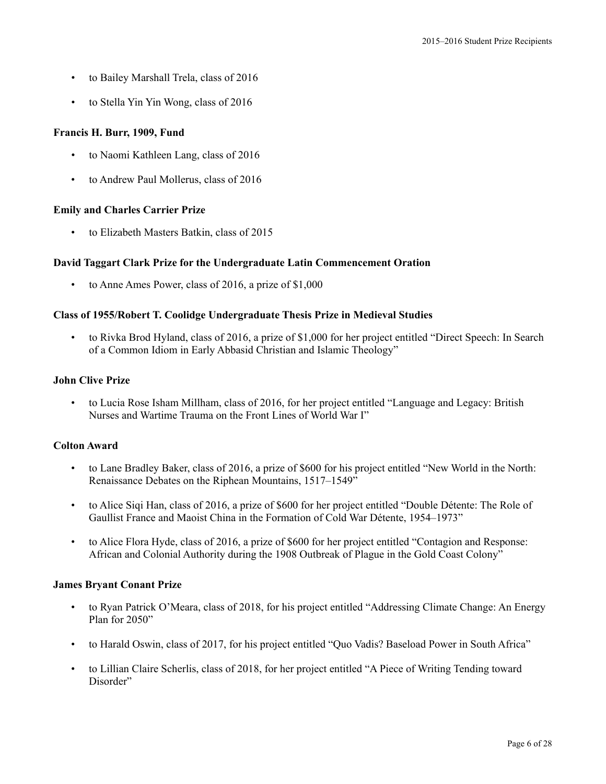- to Bailey Marshall Trela, class of 2016
- to Stella Yin Yin Wong, class of 2016

# **Francis H. Burr, 1909, Fund**

- to Naomi Kathleen Lang, class of 2016
- to Andrew Paul Mollerus, class of 2016

# **Emily and Charles Carrier Prize**

• to Elizabeth Masters Batkin, class of 2015

# **David Taggart Clark Prize for the Undergraduate Latin Commencement Oration**

• to Anne Ames Power, class of 2016, a prize of \$1,000

# **Class of 1955/Robert T. Coolidge Undergraduate Thesis Prize in Medieval Studies**

• to Rivka Brod Hyland, class of 2016, a prize of \$1,000 for her project entitled "Direct Speech: In Search of a Common Idiom in Early Abbasid Christian and Islamic Theology"

### **John Clive Prize**

• to Lucia Rose Isham Millham, class of 2016, for her project entitled "Language and Legacy: British Nurses and Wartime Trauma on the Front Lines of World War I"

# **Colton Award**

- to Lane Bradley Baker, class of 2016, a prize of \$600 for his project entitled "New World in the North: Renaissance Debates on the Riphean Mountains, 1517–1549"
- to Alice Siqi Han, class of 2016, a prize of \$600 for her project entitled "Double Détente: The Role of Gaullist France and Maoist China in the Formation of Cold War Détente, 1954–1973"
- to Alice Flora Hyde, class of 2016, a prize of \$600 for her project entitled "Contagion and Response: African and Colonial Authority during the 1908 Outbreak of Plague in the Gold Coast Colony"

# **James Bryant Conant Prize**

- to Ryan Patrick O'Meara, class of 2018, for his project entitled "Addressing Climate Change: An Energy Plan for 2050"
- to Harald Oswin, class of 2017, for his project entitled "Quo Vadis? Baseload Power in South Africa"
- to Lillian Claire Scherlis, class of 2018, for her project entitled "A Piece of Writing Tending toward Disorder"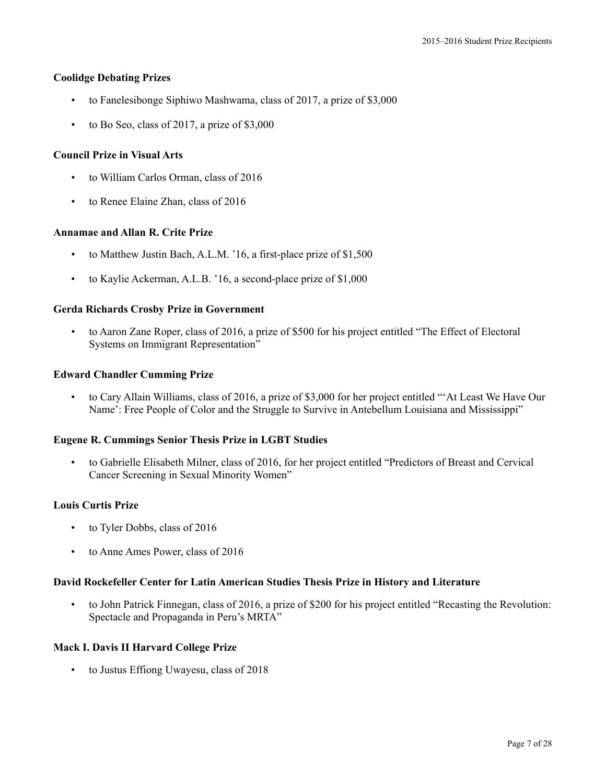### **Coolidge Debating Prizes**

- to Fanelesibonge Siphiwo Mashwama, class of 2017, a prize of \$3,000
- to Bo Seo, class of 2017, a prize of \$3,000

### **Council Prize in Visual Arts**

- to William Carlos Orman, class of 2016
- to Renee Elaine Zhan, class of 2016

#### **Annamae and Allan R. Crite Prize**

- to Matthew Justin Bach, A.L.M. '16, a first-place prize of \$1,500
- to Kaylie Ackerman, A.L.B. '16, a second-place prize of \$1,000

#### **Gerda Richards Crosby Prize in Government**

• to Aaron Zane Roper, class of 2016, a prize of \$500 for his project entitled "The Effect of Electoral Systems on Immigrant Representation"

#### **Edward Chandler Cumming Prize**

• to Cary Allain Williams, class of 2016, a prize of \$3,000 for her project entitled "'At Least We Have Our Name': Free People of Color and the Struggle to Survive in Antebellum Louisiana and Mississippi"

#### **Eugene R. Cummings Senior Thesis Prize in LGBT Studies**

• to Gabrielle Elisabeth Milner, class of 2016, for her project entitled "Predictors of Breast and Cervical Cancer Screening in Sexual Minority Women"

#### **Louis Curtis Prize**

- to Tyler Dobbs, class of 2016
- to Anne Ames Power, class of 2016

#### **David Rockefeller Center for Latin American Studies Thesis Prize in History and Literature**

• to John Patrick Finnegan, class of 2016, a prize of \$200 for his project entitled "Recasting the Revolution: Spectacle and Propaganda in Peru's MRTA"

#### **Mack I. Davis II Harvard College Prize**

• to Justus Effiong Uwayesu, class of 2018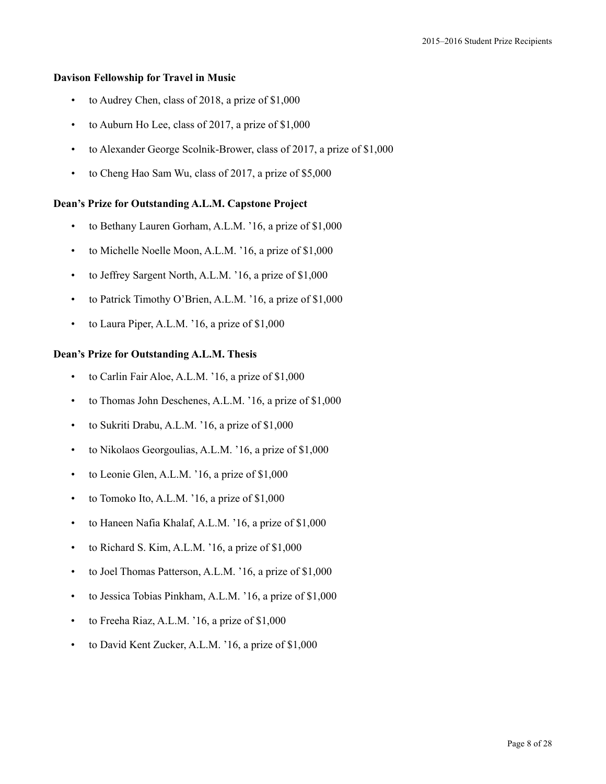# **Davison Fellowship for Travel in Music**

- to Audrey Chen, class of 2018, a prize of \$1,000
- to Auburn Ho Lee, class of 2017, a prize of \$1,000
- to Alexander George Scolnik-Brower, class of 2017, a prize of \$1,000
- to Cheng Hao Sam Wu, class of 2017, a prize of \$5,000

### **Dean's Prize for Outstanding A.L.M. Capstone Project**

- to Bethany Lauren Gorham, A.L.M. '16, a prize of \$1,000
- to Michelle Noelle Moon, A.L.M. '16, a prize of \$1,000
- to Jeffrey Sargent North, A.L.M. '16, a prize of \$1,000
- to Patrick Timothy O'Brien, A.L.M. '16, a prize of \$1,000
- to Laura Piper, A.L.M. '16, a prize of \$1,000

#### **Dean's Prize for Outstanding A.L.M. Thesis**

- to Carlin Fair Aloe, A.L.M. '16, a prize of \$1,000
- to Thomas John Deschenes, A.L.M. '16, a prize of \$1,000
- to Sukriti Drabu, A.L.M. '16, a prize of \$1,000
- to Nikolaos Georgoulias, A.L.M. '16, a prize of \$1,000
- to Leonie Glen, A.L.M. '16, a prize of \$1,000
- to Tomoko Ito, A.L.M. '16, a prize of \$1,000
- to Haneen Nafia Khalaf, A.L.M. '16, a prize of \$1,000
- to Richard S. Kim, A.L.M. '16, a prize of \$1,000
- to Joel Thomas Patterson, A.L.M. '16, a prize of \$1,000
- to Jessica Tobias Pinkham, A.L.M. '16, a prize of \$1,000
- to Freeha Riaz, A.L.M. '16, a prize of \$1,000
- to David Kent Zucker, A.L.M. '16, a prize of \$1,000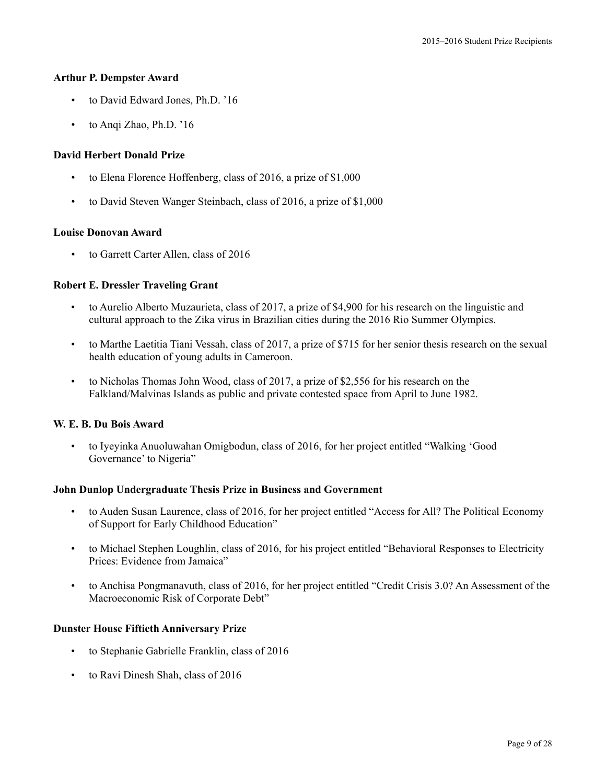#### **Arthur P. Dempster Award**

- to David Edward Jones, Ph.D. '16
- to Anqi Zhao, Ph.D. '16

# **David Herbert Donald Prize**

- to Elena Florence Hoffenberg, class of 2016, a prize of \$1,000
- to David Steven Wanger Steinbach, class of 2016, a prize of \$1,000

### **Louise Donovan Award**

• to Garrett Carter Allen, class of 2016

# **Robert E. Dressler Traveling Grant**

- to Aurelio Alberto Muzaurieta, class of 2017, a prize of \$4,900 for his research on the linguistic and cultural approach to the Zika virus in Brazilian cities during the 2016 Rio Summer Olympics.
- to Marthe Laetitia Tiani Vessah, class of 2017, a prize of \$715 for her senior thesis research on the sexual health education of young adults in Cameroon.
- to Nicholas Thomas John Wood, class of 2017, a prize of \$2,556 for his research on the Falkland/Malvinas Islands as public and private contested space from April to June 1982.

# **W. E. B. Du Bois Award**

• to Iyeyinka Anuoluwahan Omigbodun, class of 2016, for her project entitled "Walking 'Good Governance' to Nigeria"

# **John Dunlop Undergraduate Thesis Prize in Business and Government**

- to Auden Susan Laurence, class of 2016, for her project entitled "Access for All? The Political Economy of Support for Early Childhood Education"
- to Michael Stephen Loughlin, class of 2016, for his project entitled "Behavioral Responses to Electricity Prices: Evidence from Jamaica"
- to Anchisa Pongmanavuth, class of 2016, for her project entitled "Credit Crisis 3.0? An Assessment of the Macroeconomic Risk of Corporate Debt"

# **Dunster House Fiftieth Anniversary Prize**

- to Stephanie Gabrielle Franklin, class of 2016
- to Ravi Dinesh Shah, class of 2016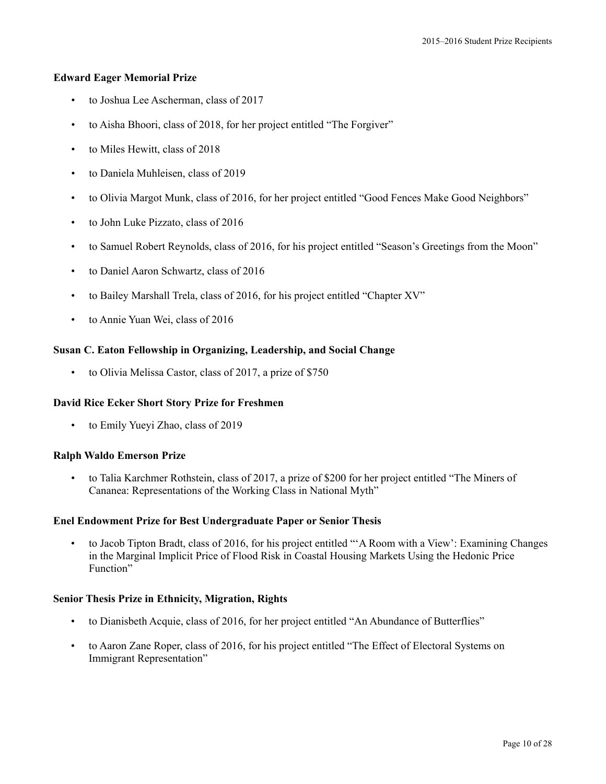# **Edward Eager Memorial Prize**

- to Joshua Lee Ascherman, class of 2017
- to Aisha Bhoori, class of 2018, for her project entitled "The Forgiver"
- to Miles Hewitt, class of 2018
- to Daniela Muhleisen, class of 2019
- to Olivia Margot Munk, class of 2016, for her project entitled "Good Fences Make Good Neighbors"
- to John Luke Pizzato, class of 2016
- to Samuel Robert Reynolds, class of 2016, for his project entitled "Season's Greetings from the Moon"
- to Daniel Aaron Schwartz, class of 2016
- to Bailey Marshall Trela, class of 2016, for his project entitled "Chapter XV"
- to Annie Yuan Wei, class of 2016

# **Susan C. Eaton Fellowship in Organizing, Leadership, and Social Change**

• to Olivia Melissa Castor, class of 2017, a prize of \$750

# **David Rice Ecker Short Story Prize for Freshmen**

• to Emily Yueyi Zhao, class of 2019

# **Ralph Waldo Emerson Prize**

• to Talia Karchmer Rothstein, class of 2017, a prize of \$200 for her project entitled "The Miners of Cananea: Representations of the Working Class in National Myth"

# **Enel Endowment Prize for Best Undergraduate Paper or Senior Thesis**

• to Jacob Tipton Bradt, class of 2016, for his project entitled "'A Room with a View': Examining Changes in the Marginal Implicit Price of Flood Risk in Coastal Housing Markets Using the Hedonic Price Function"

# **Senior Thesis Prize in Ethnicity, Migration, Rights**

- to Dianisbeth Acquie, class of 2016, for her project entitled "An Abundance of Butterflies"
- to Aaron Zane Roper, class of 2016, for his project entitled "The Effect of Electoral Systems on Immigrant Representation"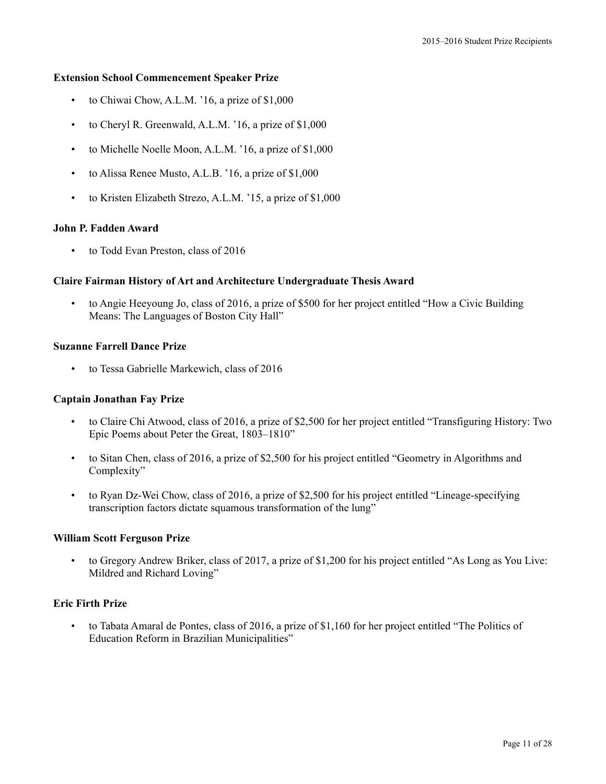#### **Extension School Commencement Speaker Prize**

- to Chiwai Chow, A.L.M. '16, a prize of \$1,000
- to Cheryl R. Greenwald, A.L.M. '16, a prize of \$1,000
- to Michelle Noelle Moon, A.L.M. '16, a prize of \$1,000
- to Alissa Renee Musto, A.L.B. '16, a prize of \$1,000
- to Kristen Elizabeth Strezo, A.L.M. '15, a prize of \$1,000

#### **John P. Fadden Award**

• to Todd Evan Preston, class of 2016

#### **Claire Fairman History of Art and Architecture Undergraduate Thesis Award**

• to Angie Heeyoung Jo, class of 2016, a prize of \$500 for her project entitled "How a Civic Building Means: The Languages of Boston City Hall"

# **Suzanne Farrell Dance Prize**

• to Tessa Gabrielle Markewich, class of 2016

#### **Captain Jonathan Fay Prize**

- to Claire Chi Atwood, class of 2016, a prize of \$2,500 for her project entitled "Transfiguring History: Two Epic Poems about Peter the Great, 1803–1810"
- to Sitan Chen, class of 2016, a prize of \$2,500 for his project entitled "Geometry in Algorithms and Complexity"
- to Ryan Dz-Wei Chow, class of 2016, a prize of \$2,500 for his project entitled "Lineage-specifying transcription factors dictate squamous transformation of the lung"

#### **William Scott Ferguson Prize**

• to Gregory Andrew Briker, class of 2017, a prize of \$1,200 for his project entitled "As Long as You Live: Mildred and Richard Loving"

### **Eric Firth Prize**

• to Tabata Amaral de Pontes, class of 2016, a prize of \$1,160 for her project entitled "The Politics of Education Reform in Brazilian Municipalities"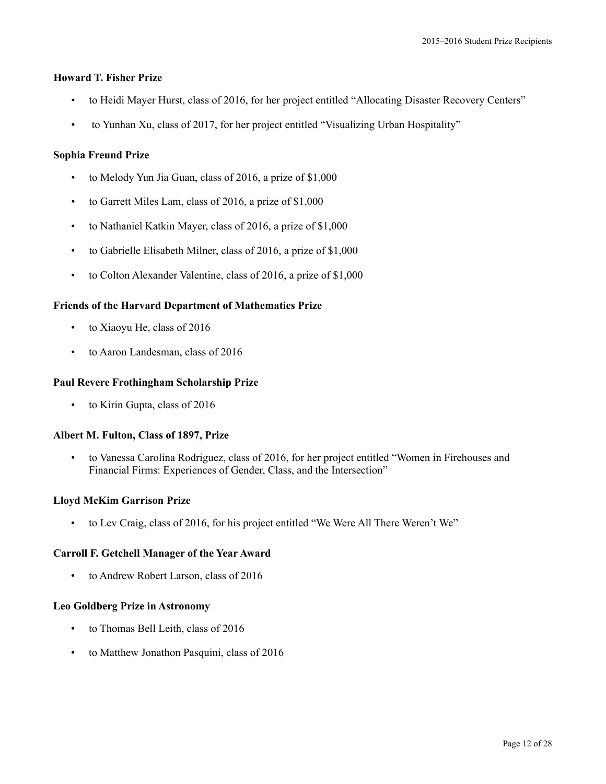# **Howard T. Fisher Prize**

- to Heidi Mayer Hurst, class of 2016, for her project entitled "Allocating Disaster Recovery Centers"
- to Yunhan Xu, class of 2017, for her project entitled "Visualizing Urban Hospitality"

# **Sophia Freund Prize**

- to Melody Yun Jia Guan, class of 2016, a prize of \$1,000
- to Garrett Miles Lam, class of 2016, a prize of \$1,000
- to Nathaniel Katkin Mayer, class of 2016, a prize of \$1,000
- to Gabrielle Elisabeth Milner, class of 2016, a prize of \$1,000
- to Colton Alexander Valentine, class of 2016, a prize of \$1,000

# **Friends of the Harvard Department of Mathematics Prize**

- to Xiaoyu He, class of 2016
- to Aaron Landesman, class of 2016

### **Paul Revere Frothingham Scholarship Prize**

• to Kirin Gupta, class of 2016

# **Albert M. Fulton, Class of 1897, Prize**

• to Vanessa Carolina Rodriguez, class of 2016, for her project entitled "Women in Firehouses and Financial Firms: Experiences of Gender, Class, and the Intersection"

# **Lloyd McKim Garrison Prize**

• to Lev Craig, class of 2016, for his project entitled "We Were All There Weren't We"

# **Carroll F. Getchell Manager of the Year Award**

• to Andrew Robert Larson, class of 2016

#### **Leo Goldberg Prize in Astronomy**

- to Thomas Bell Leith, class of 2016
- to Matthew Jonathon Pasquini, class of 2016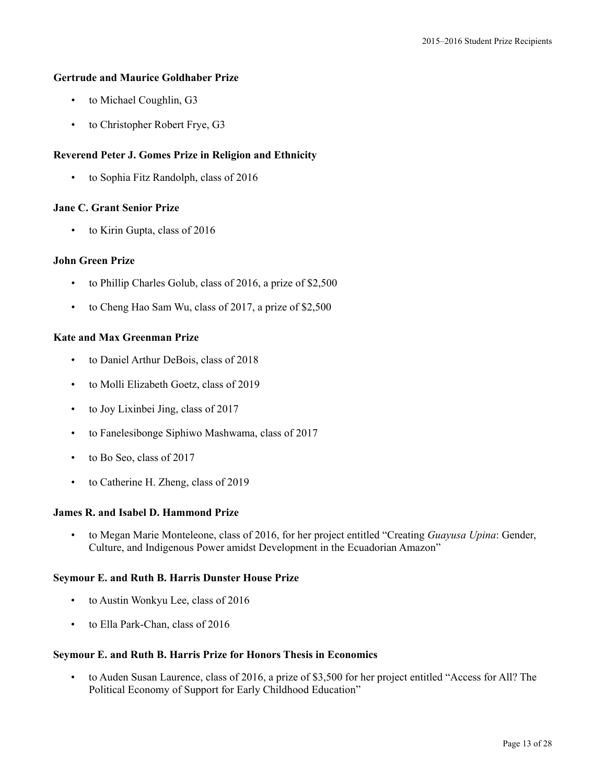### **Gertrude and Maurice Goldhaber Prize**

- to Michael Coughlin, G3
- to Christopher Robert Frye, G3

# **Reverend Peter J. Gomes Prize in Religion and Ethnicity**

• to Sophia Fitz Randolph, class of 2016

### **Jane C. Grant Senior Prize**

• to Kirin Gupta, class of 2016

# **John Green Prize**

- to Phillip Charles Golub, class of 2016, a prize of \$2,500
- to Cheng Hao Sam Wu, class of 2017, a prize of \$2,500

# **Kate and Max Greenman Prize**

- to Daniel Arthur DeBois, class of 2018
- to Molli Elizabeth Goetz, class of 2019
- to Joy Lixinbei Jing, class of 2017
- to Fanelesibonge Siphiwo Mashwama, class of 2017
- to Bo Seo, class of 2017
- to Catherine H. Zheng, class of 2019

# **James R. and Isabel D. Hammond Prize**

• to Megan Marie Monteleone, class of 2016, for her project entitled "Creating *Guayusa Upina*: Gender, Culture, and Indigenous Power amidst Development in the Ecuadorian Amazon"

# **Seymour E. and Ruth B. Harris Dunster House Prize**

- to Austin Wonkyu Lee, class of 2016
- to Ella Park-Chan, class of 2016

#### **Seymour E. and Ruth B. Harris Prize for Honors Thesis in Economics**

• to Auden Susan Laurence, class of 2016, a prize of \$3,500 for her project entitled "Access for All? The Political Economy of Support for Early Childhood Education"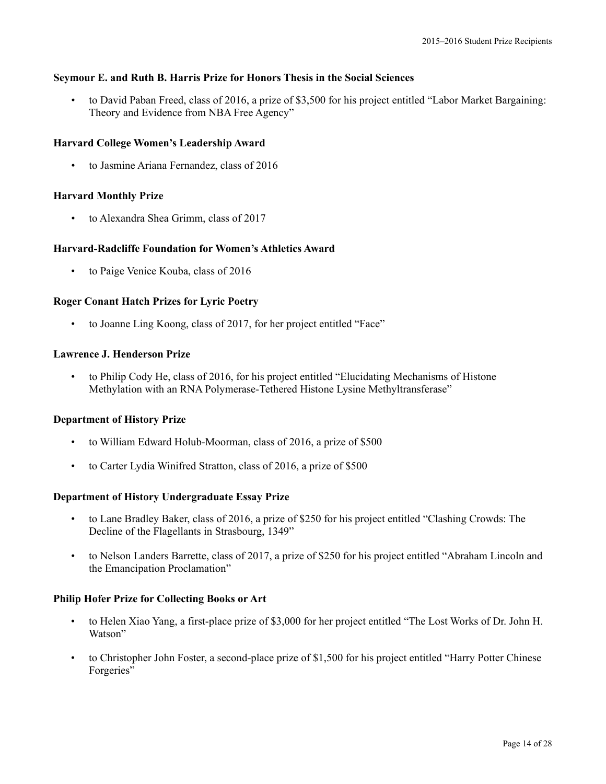# **Seymour E. and Ruth B. Harris Prize for Honors Thesis in the Social Sciences**

• to David Paban Freed, class of 2016, a prize of \$3,500 for his project entitled "Labor Market Bargaining: Theory and Evidence from NBA Free Agency"

# **Harvard College Women's Leadership Award**

• to Jasmine Ariana Fernandez, class of 2016

# **Harvard Monthly Prize**

• to Alexandra Shea Grimm, class of 2017

# **Harvard-Radcliffe Foundation for Women's Athletics Award**

to Paige Venice Kouba, class of 2016

# **Roger Conant Hatch Prizes for Lyric Poetry**

• to Joanne Ling Koong, class of 2017, for her project entitled "Face"

# **Lawrence J. Henderson Prize**

• to Philip Cody He, class of 2016, for his project entitled "Elucidating Mechanisms of Histone Methylation with an RNA Polymerase-Tethered Histone Lysine Methyltransferase"

# **Department of History Prize**

- to William Edward Holub-Moorman, class of 2016, a prize of \$500
- to Carter Lydia Winifred Stratton, class of 2016, a prize of \$500

# **Department of History Undergraduate Essay Prize**

- to Lane Bradley Baker, class of 2016, a prize of \$250 for his project entitled "Clashing Crowds: The Decline of the Flagellants in Strasbourg, 1349"
- to Nelson Landers Barrette, class of 2017, a prize of \$250 for his project entitled "Abraham Lincoln and the Emancipation Proclamation"

# **Philip Hofer Prize for Collecting Books or Art**

- to Helen Xiao Yang, a first-place prize of \$3,000 for her project entitled "The Lost Works of Dr. John H. Watson"
- to Christopher John Foster, a second-place prize of \$1,500 for his project entitled "Harry Potter Chinese" Forgeries"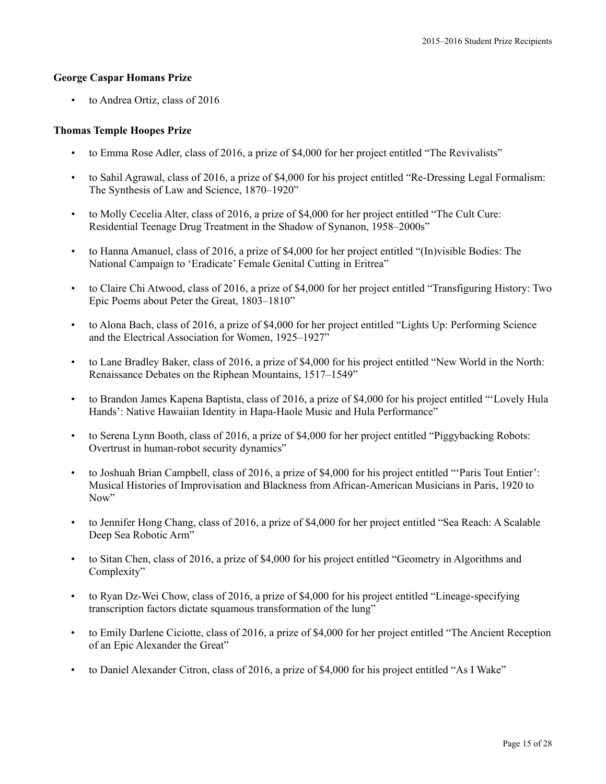### **George Caspar Homans Prize**

• to Andrea Ortiz, class of 2016

### **Thomas Temple Hoopes Prize**

- to Emma Rose Adler, class of 2016, a prize of \$4,000 for her project entitled "The Revivalists"
- to Sahil Agrawal, class of 2016, a prize of \$4,000 for his project entitled "Re-Dressing Legal Formalism: The Synthesis of Law and Science, 1870–1920"
- to Molly Cecelia Alter, class of 2016, a prize of \$4,000 for her project entitled "The Cult Cure: Residential Teenage Drug Treatment in the Shadow of Synanon, 1958–2000s"
- to Hanna Amanuel, class of 2016, a prize of \$4,000 for her project entitled "(In)visible Bodies: The National Campaign to 'Eradicate' Female Genital Cutting in Eritrea"
- to Claire Chi Atwood, class of 2016, a prize of \$4,000 for her project entitled "Transfiguring History: Two Epic Poems about Peter the Great, 1803–1810"
- to Alona Bach, class of 2016, a prize of \$4,000 for her project entitled "Lights Up: Performing Science and the Electrical Association for Women, 1925–1927"
- to Lane Bradley Baker, class of 2016, a prize of \$4,000 for his project entitled "New World in the North: Renaissance Debates on the Riphean Mountains, 1517–1549"
- to Brandon James Kapena Baptista, class of 2016, a prize of \$4,000 for his project entitled "'Lovely Hula Hands': Native Hawaiian Identity in Hapa-Haole Music and Hula Performance"
- to Serena Lynn Booth, class of 2016, a prize of \$4,000 for her project entitled "Piggybacking Robots: Overtrust in human-robot security dynamics"
- to Joshuah Brian Campbell, class of 2016, a prize of \$4,000 for his project entitled "'Paris Tout Entier': Musical Histories of Improvisation and Blackness from African-American Musicians in Paris, 1920 to Now"
- to Jennifer Hong Chang, class of 2016, a prize of \$4,000 for her project entitled "Sea Reach: A Scalable Deep Sea Robotic Arm"
- to Sitan Chen, class of 2016, a prize of \$4,000 for his project entitled "Geometry in Algorithms and Complexity"
- to Ryan Dz-Wei Chow, class of 2016, a prize of \$4,000 for his project entitled "Lineage-specifying transcription factors dictate squamous transformation of the lung"
- to Emily Darlene Ciciotte, class of 2016, a prize of \$4,000 for her project entitled "The Ancient Reception of an Epic Alexander the Great"
- to Daniel Alexander Citron, class of 2016, a prize of \$4,000 for his project entitled "As I Wake"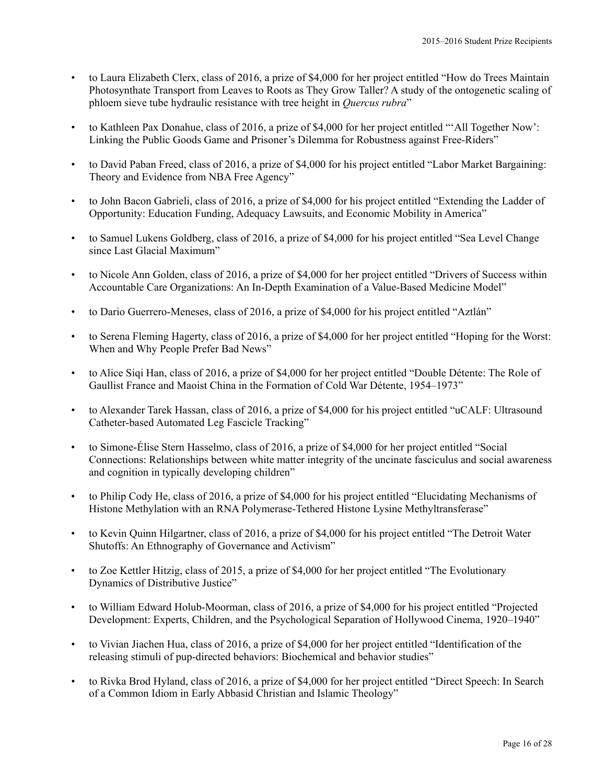- to Laura Elizabeth Clerx, class of 2016, a prize of \$4,000 for her project entitled "How do Trees Maintain Photosynthate Transport from Leaves to Roots as They Grow Taller? A study of the ontogenetic scaling of phloem sieve tube hydraulic resistance with tree height in *Quercus rubra*"
- to Kathleen Pax Donahue, class of 2016, a prize of \$4,000 for her project entitled "'All Together Now': Linking the Public Goods Game and Prisoner's Dilemma for Robustness against Free-Riders"
- to David Paban Freed, class of 2016, a prize of \$4,000 for his project entitled "Labor Market Bargaining: Theory and Evidence from NBA Free Agency"
- to John Bacon Gabrieli, class of 2016, a prize of \$4,000 for his project entitled "Extending the Ladder of Opportunity: Education Funding, Adequacy Lawsuits, and Economic Mobility in America"
- to Samuel Lukens Goldberg, class of 2016, a prize of \$4,000 for his project entitled "Sea Level Change since Last Glacial Maximum"
- to Nicole Ann Golden, class of 2016, a prize of \$4,000 for her project entitled "Drivers of Success within Accountable Care Organizations: An In-Depth Examination of a Value-Based Medicine Model"
- to Dario Guerrero-Meneses, class of 2016, a prize of \$4,000 for his project entitled "Aztlán"
- to Serena Fleming Hagerty, class of 2016, a prize of \$4,000 for her project entitled "Hoping for the Worst: When and Why People Prefer Bad News"
- to Alice Siqi Han, class of 2016, a prize of \$4,000 for her project entitled "Double Détente: The Role of Gaullist France and Maoist China in the Formation of Cold War Détente, 1954–1973"
- to Alexander Tarek Hassan, class of 2016, a prize of \$4,000 for his project entitled "uCALF: Ultrasound Catheter-based Automated Leg Fascicle Tracking"
- to Simone-Élise Stern Hasselmo, class of 2016, a prize of \$4,000 for her project entitled "Social Connections: Relationships between white matter integrity of the uncinate fasciculus and social awareness and cognition in typically developing children"
- to Philip Cody He, class of 2016, a prize of \$4,000 for his project entitled "Elucidating Mechanisms of Histone Methylation with an RNA Polymerase-Tethered Histone Lysine Methyltransferase"
- to Kevin Quinn Hilgartner, class of 2016, a prize of \$4,000 for his project entitled "The Detroit Water Shutoffs: An Ethnography of Governance and Activism"
- to Zoe Kettler Hitzig, class of 2015, a prize of \$4,000 for her project entitled "The Evolutionary Dynamics of Distributive Justice"
- to William Edward Holub-Moorman, class of 2016, a prize of \$4,000 for his project entitled "Projected Development: Experts, Children, and the Psychological Separation of Hollywood Cinema, 1920–1940"
- to Vivian Jiachen Hua, class of 2016, a prize of \$4,000 for her project entitled "Identification of the releasing stimuli of pup-directed behaviors: Biochemical and behavior studies"
- to Rivka Brod Hyland, class of 2016, a prize of \$4,000 for her project entitled "Direct Speech: In Search of a Common Idiom in Early Abbasid Christian and Islamic Theology"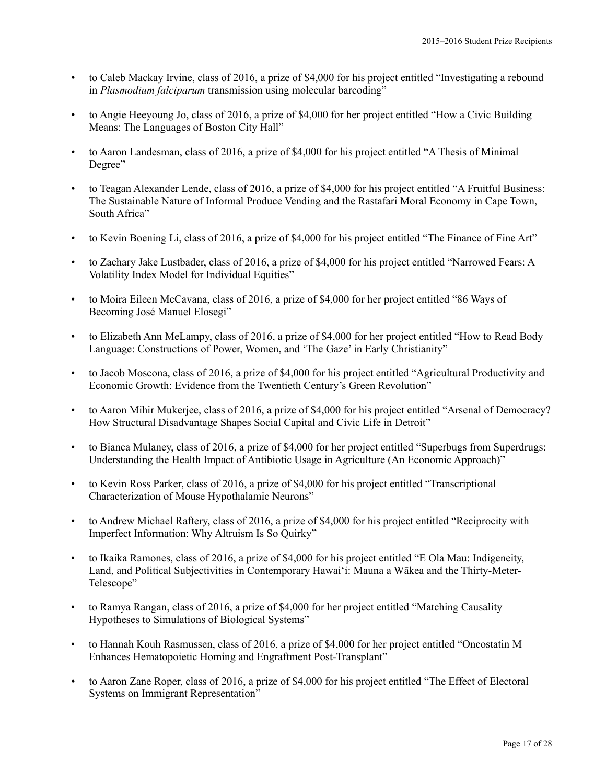- to Caleb Mackay Irvine, class of 2016, a prize of \$4,000 for his project entitled "Investigating a rebound in *Plasmodium falciparum* transmission using molecular barcoding"
- to Angie Heeyoung Jo, class of 2016, a prize of \$4,000 for her project entitled "How a Civic Building Means: The Languages of Boston City Hall"
- to Aaron Landesman, class of 2016, a prize of \$4,000 for his project entitled "A Thesis of Minimal Degree"
- to Teagan Alexander Lende, class of 2016, a prize of \$4,000 for his project entitled "A Fruitful Business: The Sustainable Nature of Informal Produce Vending and the Rastafari Moral Economy in Cape Town, South Africa"
- to Kevin Boening Li, class of 2016, a prize of \$4,000 for his project entitled "The Finance of Fine Art"
- to Zachary Jake Lustbader, class of 2016, a prize of \$4,000 for his project entitled "Narrowed Fears: A Volatility Index Model for Individual Equities"
- to Moira Eileen McCavana, class of 2016, a prize of \$4,000 for her project entitled "86 Ways of Becoming José Manuel Elosegi"
- to Elizabeth Ann MeLampy, class of 2016, a prize of \$4,000 for her project entitled "How to Read Body Language: Constructions of Power, Women, and 'The Gaze' in Early Christianity"
- to Jacob Moscona, class of 2016, a prize of \$4,000 for his project entitled "Agricultural Productivity and Economic Growth: Evidence from the Twentieth Century's Green Revolution"
- to Aaron Mihir Mukerjee, class of 2016, a prize of \$4,000 for his project entitled "Arsenal of Democracy? How Structural Disadvantage Shapes Social Capital and Civic Life in Detroit"
- to Bianca Mulaney, class of 2016, a prize of \$4,000 for her project entitled "Superbugs from Superdrugs: Understanding the Health Impact of Antibiotic Usage in Agriculture (An Economic Approach)"
- to Kevin Ross Parker, class of 2016, a prize of \$4,000 for his project entitled "Transcriptional Characterization of Mouse Hypothalamic Neurons"
- to Andrew Michael Raftery, class of 2016, a prize of \$4,000 for his project entitled "Reciprocity with Imperfect Information: Why Altruism Is So Quirky"
- to Ikaika Ramones, class of 2016, a prize of \$4,000 for his project entitled "E Ola Mau: Indigeneity, Land, and Political Subjectivities in Contemporary Hawaiʻi: Mauna a Wākea and the Thirty-Meter-Telescope"
- to Ramya Rangan, class of 2016, a prize of \$4,000 for her project entitled "Matching Causality Hypotheses to Simulations of Biological Systems"
- to Hannah Kouh Rasmussen, class of 2016, a prize of \$4,000 for her project entitled "Oncostatin M Enhances Hematopoietic Homing and Engraftment Post-Transplant"
- to Aaron Zane Roper, class of 2016, a prize of \$4,000 for his project entitled "The Effect of Electoral Systems on Immigrant Representation"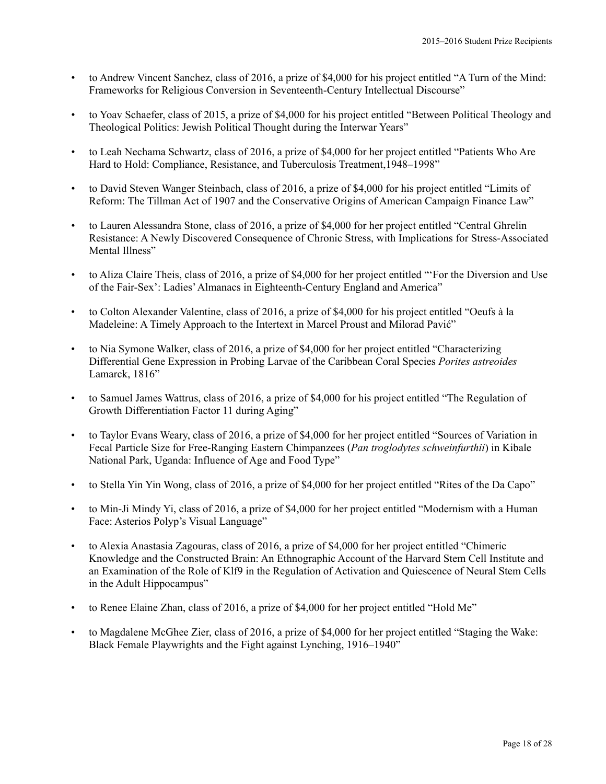- to Andrew Vincent Sanchez, class of 2016, a prize of \$4,000 for his project entitled "A Turn of the Mind: Frameworks for Religious Conversion in Seventeenth-Century Intellectual Discourse"
- to Yoav Schaefer, class of 2015, a prize of \$4,000 for his project entitled "Between Political Theology and Theological Politics: Jewish Political Thought during the Interwar Years"
- to Leah Nechama Schwartz, class of 2016, a prize of \$4,000 for her project entitled "Patients Who Are Hard to Hold: Compliance, Resistance, and Tuberculosis Treatment,1948–1998"
- to David Steven Wanger Steinbach, class of 2016, a prize of \$4,000 for his project entitled "Limits of Reform: The Tillman Act of 1907 and the Conservative Origins of American Campaign Finance Law"
- to Lauren Alessandra Stone, class of 2016, a prize of \$4,000 for her project entitled "Central Ghrelin Resistance: A Newly Discovered Consequence of Chronic Stress, with Implications for Stress-Associated Mental Illness"
- to Aliza Claire Theis, class of 2016, a prize of \$4,000 for her project entitled "'For the Diversion and Use of the Fair-Sex': Ladies'Almanacs in Eighteenth-Century England and America"
- to Colton Alexander Valentine, class of 2016, a prize of \$4,000 for his project entitled "Oeufs à la Madeleine: A Timely Approach to the Intertext in Marcel Proust and Milorad Pavić"
- to Nia Symone Walker, class of 2016, a prize of \$4,000 for her project entitled "Characterizing Differential Gene Expression in Probing Larvae of the Caribbean Coral Species *Porites astreoides* Lamarck, 1816"
- to Samuel James Wattrus, class of 2016, a prize of \$4,000 for his project entitled "The Regulation of Growth Differentiation Factor 11 during Aging"
- to Taylor Evans Weary, class of 2016, a prize of \$4,000 for her project entitled "Sources of Variation in Fecal Particle Size for Free-Ranging Eastern Chimpanzees (*Pan troglodytes schweinfurthii*) in Kibale National Park, Uganda: Influence of Age and Food Type"
- to Stella Yin Yin Wong, class of 2016, a prize of \$4,000 for her project entitled "Rites of the Da Capo"
- to Min-Ji Mindy Yi, class of 2016, a prize of \$4,000 for her project entitled "Modernism with a Human Face: Asterios Polyp's Visual Language"
- to Alexia Anastasia Zagouras, class of 2016, a prize of \$4,000 for her project entitled "Chimeric Knowledge and the Constructed Brain: An Ethnographic Account of the Harvard Stem Cell Institute and an Examination of the Role of Klf9 in the Regulation of Activation and Quiescence of Neural Stem Cells in the Adult Hippocampus"
- to Renee Elaine Zhan, class of 2016, a prize of \$4,000 for her project entitled "Hold Me"
- to Magdalene McGhee Zier, class of 2016, a prize of \$4,000 for her project entitled "Staging the Wake: Black Female Playwrights and the Fight against Lynching, 1916–1940"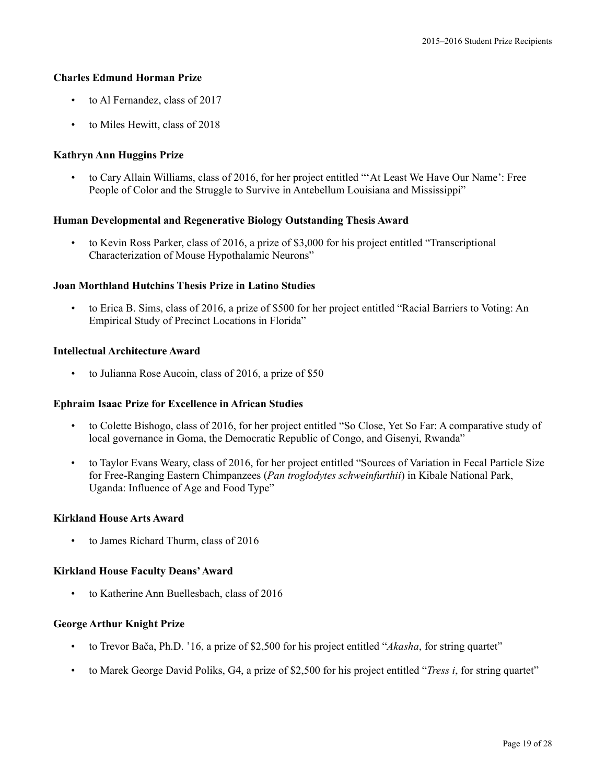### **Charles Edmund Horman Prize**

- to Al Fernandez, class of 2017
- to Miles Hewitt, class of 2018

# **Kathryn Ann Huggins Prize**

• to Cary Allain Williams, class of 2016, for her project entitled "'At Least We Have Our Name': Free People of Color and the Struggle to Survive in Antebellum Louisiana and Mississippi"

# **Human Developmental and Regenerative Biology Outstanding Thesis Award**

• to Kevin Ross Parker, class of 2016, a prize of \$3,000 for his project entitled "Transcriptional Characterization of Mouse Hypothalamic Neurons"

### **Joan Morthland Hutchins Thesis Prize in Latino Studies**

• to Erica B. Sims, class of 2016, a prize of \$500 for her project entitled "Racial Barriers to Voting: An Empirical Study of Precinct Locations in Florida"

#### **Intellectual Architecture Award**

• to Julianna Rose Aucoin, class of 2016, a prize of \$50

#### **Ephraim Isaac Prize for Excellence in African Studies**

- to Colette Bishogo, class of 2016, for her project entitled "So Close, Yet So Far: A comparative study of local governance in Goma, the Democratic Republic of Congo, and Gisenyi, Rwanda"
- to Taylor Evans Weary, class of 2016, for her project entitled "Sources of Variation in Fecal Particle Size for Free-Ranging Eastern Chimpanzees (*Pan troglodytes schweinfurthii*) in Kibale National Park, Uganda: Influence of Age and Food Type"

#### **Kirkland House Arts Award**

• to James Richard Thurm, class of 2016

#### **Kirkland House Faculty Deans'Award**

• to Katherine Ann Buellesbach, class of 2016

#### **George Arthur Knight Prize**

- to Trevor Bača, Ph.D. '16, a prize of \$2,500 for his project entitled "*Akasha*, for string quartet"
- to Marek George David Poliks, G4, a prize of \$2,500 for his project entitled "*Tress i*, for string quartet"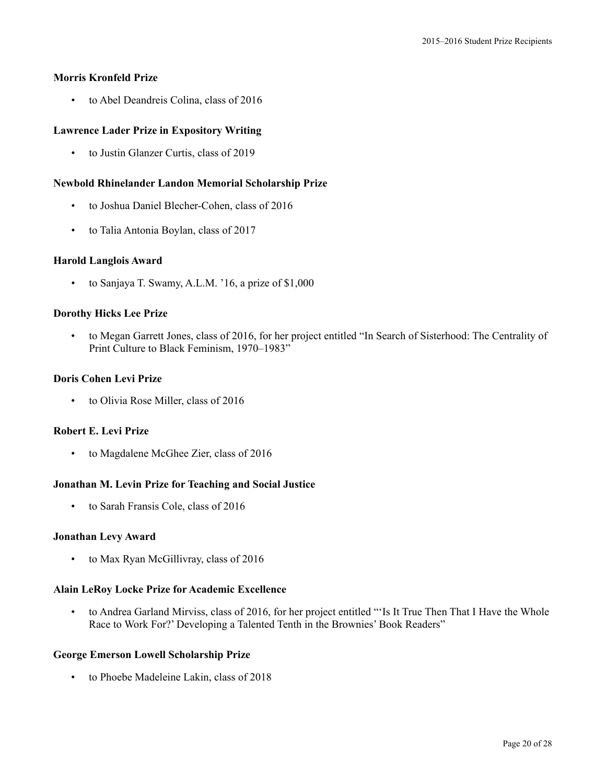### **Morris Kronfeld Prize**

• to Abel Deandreis Colina, class of 2016

# **Lawrence Lader Prize in Expository Writing**

• to Justin Glanzer Curtis, class of 2019

### **Newbold Rhinelander Landon Memorial Scholarship Prize**

- to Joshua Daniel Blecher-Cohen, class of 2016
- to Talia Antonia Boylan, class of 2017

### **Harold Langlois Award**

• to Sanjaya T. Swamy, A.L.M. '16, a prize of \$1,000

### **Dorothy Hicks Lee Prize**

• to Megan Garrett Jones, class of 2016, for her project entitled "In Search of Sisterhood: The Centrality of Print Culture to Black Feminism, 1970–1983"

### **Doris Cohen Levi Prize**

• to Olivia Rose Miller, class of 2016

### **Robert E. Levi Prize**

• to Magdalene McGhee Zier, class of 2016

# **Jonathan M. Levin Prize for Teaching and Social Justice**

• to Sarah Fransis Cole, class of 2016

#### **Jonathan Levy Award**

• to Max Ryan McGillivray, class of 2016

#### **Alain LeRoy Locke Prize for Academic Excellence**

• to Andrea Garland Mirviss, class of 2016, for her project entitled "'Is It True Then That I Have the Whole Race to Work For?' Developing a Talented Tenth in the Brownies' Book Readers"

#### **George Emerson Lowell Scholarship Prize**

• to Phoebe Madeleine Lakin, class of 2018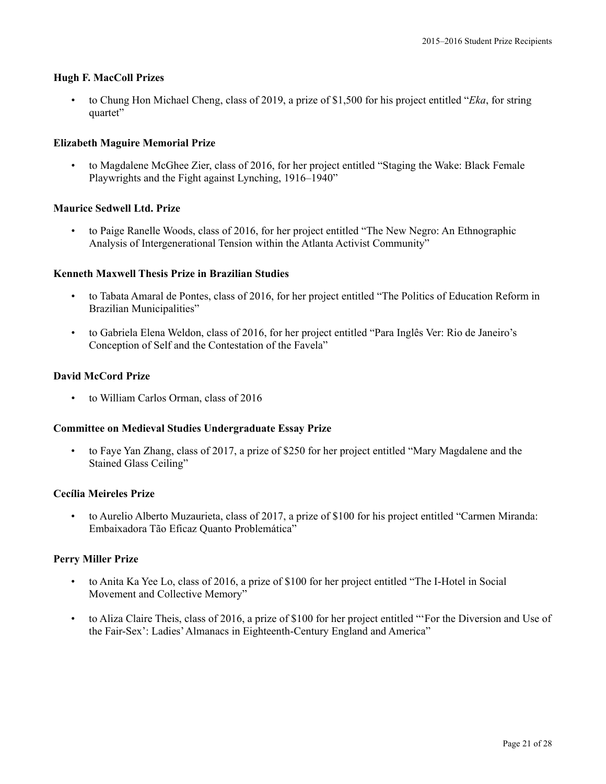### **Hugh F. MacColl Prizes**

• to Chung Hon Michael Cheng, class of 2019, a prize of \$1,500 for his project entitled "*Eka*, for string quartet"

### **Elizabeth Maguire Memorial Prize**

• to Magdalene McGhee Zier, class of 2016, for her project entitled "Staging the Wake: Black Female Playwrights and the Fight against Lynching, 1916–1940"

#### **Maurice Sedwell Ltd. Prize**

• to Paige Ranelle Woods, class of 2016, for her project entitled "The New Negro: An Ethnographic Analysis of Intergenerational Tension within the Atlanta Activist Community"

#### **Kenneth Maxwell Thesis Prize in Brazilian Studies**

- to Tabata Amaral de Pontes, class of 2016, for her project entitled "The Politics of Education Reform in Brazilian Municipalities"
- to Gabriela Elena Weldon, class of 2016, for her project entitled "Para Inglês Ver: Rio de Janeiro's Conception of Self and the Contestation of the Favela"

### **David McCord Prize**

• to William Carlos Orman, class of 2016

#### **Committee on Medieval Studies Undergraduate Essay Prize**

• to Faye Yan Zhang, class of 2017, a prize of \$250 for her project entitled "Mary Magdalene and the Stained Glass Ceiling"

#### **Cecília Meireles Prize**

• to Aurelio Alberto Muzaurieta, class of 2017, a prize of \$100 for his project entitled "Carmen Miranda: Embaixadora Tão Eficaz Quanto Problemática"

#### **Perry Miller Prize**

- to Anita Ka Yee Lo, class of 2016, a prize of \$100 for her project entitled "The I-Hotel in Social Movement and Collective Memory"
- to Aliza Claire Theis, class of 2016, a prize of \$100 for her project entitled "'For the Diversion and Use of the Fair-Sex': Ladies'Almanacs in Eighteenth-Century England and America"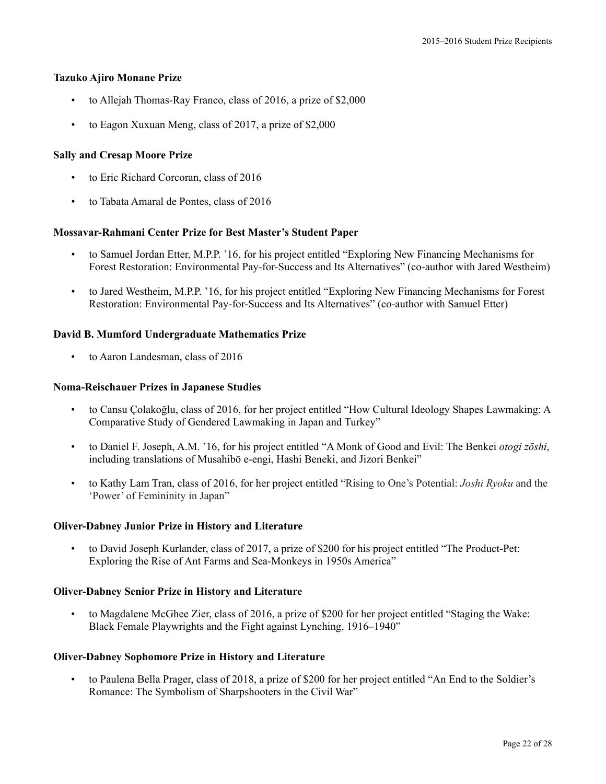#### **Tazuko Ajiro Monane Prize**

- to Allejah Thomas-Ray Franco, class of 2016, a prize of \$2,000
- to Eagon Xuxuan Meng, class of 2017, a prize of \$2,000

# **Sally and Cresap Moore Prize**

- to Eric Richard Corcoran, class of 2016
- to Tabata Amaral de Pontes, class of 2016

# **Mossavar-Rahmani Center Prize for Best Master's Student Paper**

- to Samuel Jordan Etter, M.P.P. '16, for his project entitled "Exploring New Financing Mechanisms for Forest Restoration: Environmental Pay-for-Success and Its Alternatives" (co-author with Jared Westheim)
- to Jared Westheim, M.P.P. '16, for his project entitled "Exploring New Financing Mechanisms for Forest Restoration: Environmental Pay-for-Success and Its Alternatives" (co-author with Samuel Etter)

# **David B. Mumford Undergraduate Mathematics Prize**

• to Aaron Landesman, class of 2016

### **Noma-Reischauer Prizes in Japanese Studies**

- to Cansu Çolakoğlu, class of 2016, for her project entitled "How Cultural Ideology Shapes Lawmaking: A Comparative Study of Gendered Lawmaking in Japan and Turkey"
- to Daniel F. Joseph, A.M. '16, for his project entitled "A Monk of Good and Evil: The Benkei *otogi zōshi*, including translations of Musahibō e-engi, Hashi Beneki, and Jizori Benkei"
- to Kathy Lam Tran, class of 2016, for her project entitled "Rising to One's Potential: *Joshi Ryoku* and the 'Power' of Femininity in Japan"

# **Oliver-Dabney Junior Prize in History and Literature**

• to David Joseph Kurlander, class of 2017, a prize of \$200 for his project entitled "The Product-Pet: Exploring the Rise of Ant Farms and Sea-Monkeys in 1950s America"

# **Oliver-Dabney Senior Prize in History and Literature**

• to Magdalene McGhee Zier, class of 2016, a prize of \$200 for her project entitled "Staging the Wake: Black Female Playwrights and the Fight against Lynching, 1916–1940"

# **Oliver-Dabney Sophomore Prize in History and Literature**

• to Paulena Bella Prager, class of 2018, a prize of \$200 for her project entitled "An End to the Soldier's Romance: The Symbolism of Sharpshooters in the Civil War"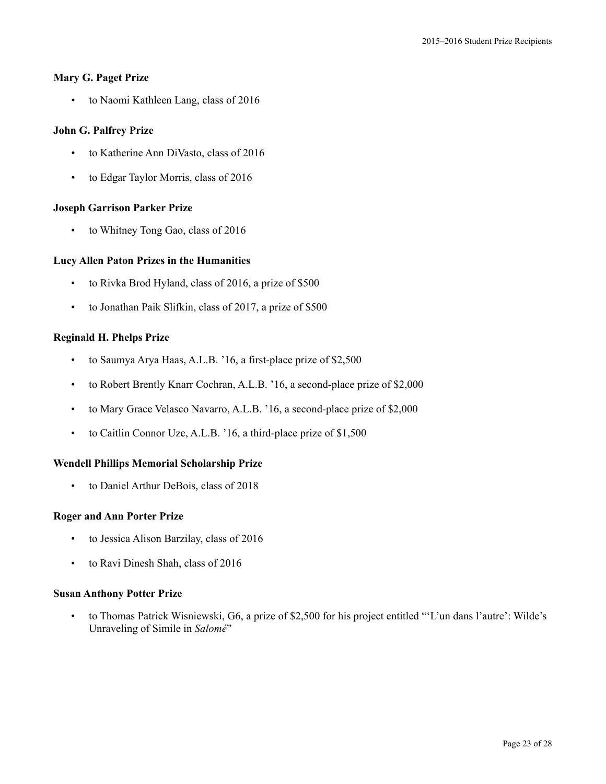### **Mary G. Paget Prize**

• to Naomi Kathleen Lang, class of 2016

# **John G. Palfrey Prize**

- to Katherine Ann DiVasto, class of 2016
- to Edgar Taylor Morris, class of 2016

# **Joseph Garrison Parker Prize**

• to Whitney Tong Gao, class of 2016

# **Lucy Allen Paton Prizes in the Humanities**

- to Rivka Brod Hyland, class of 2016, a prize of \$500
- to Jonathan Paik Slifkin, class of 2017, a prize of \$500

# **Reginald H. Phelps Prize**

- to Saumya Arya Haas, A.L.B. '16, a first-place prize of \$2,500
- to Robert Brently Knarr Cochran, A.L.B. '16, a second-place prize of \$2,000
- to Mary Grace Velasco Navarro, A.L.B. '16, a second-place prize of \$2,000
- to Caitlin Connor Uze, A.L.B. '16, a third-place prize of \$1,500

# **Wendell Phillips Memorial Scholarship Prize**

• to Daniel Arthur DeBois, class of 2018

# **Roger and Ann Porter Prize**

- to Jessica Alison Barzilay, class of 2016
- to Ravi Dinesh Shah, class of 2016

# **Susan Anthony Potter Prize**

• to Thomas Patrick Wisniewski, G6, a prize of \$2,500 for his project entitled "'L'un dans l'autre': Wilde's Unraveling of Simile in *Salomé*"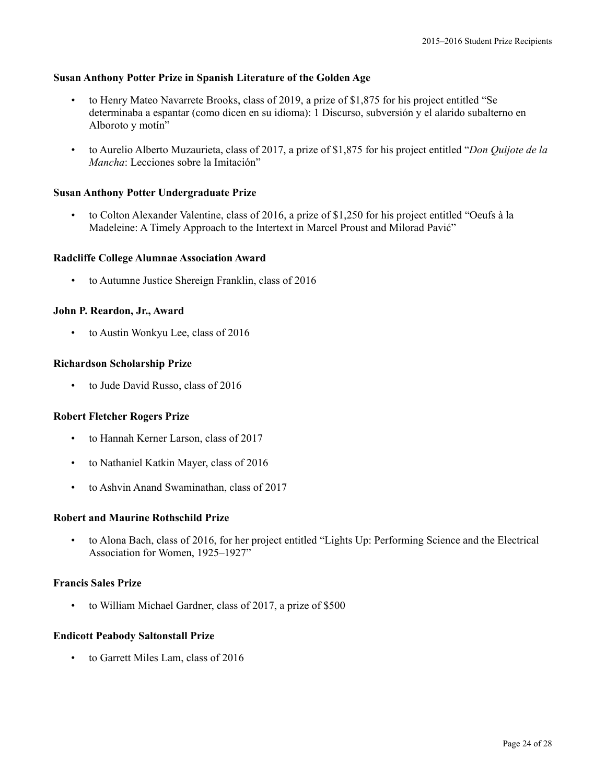#### **Susan Anthony Potter Prize in Spanish Literature of the Golden Age**

- to Henry Mateo Navarrete Brooks, class of 2019, a prize of \$1,875 for his project entitled "Se determinaba a espantar (como dicen en su idioma): 1 Discurso, subversión y el alarido subalterno en Alboroto y motín"
- to Aurelio Alberto Muzaurieta, class of 2017, a prize of \$1,875 for his project entitled "*Don Quijote de la Mancha*: Lecciones sobre la Imitación"

#### **Susan Anthony Potter Undergraduate Prize**

• to Colton Alexander Valentine, class of 2016, a prize of \$1,250 for his project entitled "Oeufs à la Madeleine: A Timely Approach to the Intertext in Marcel Proust and Milorad Pavić"

#### **Radcliffe College Alumnae Association Award**

• to Autumne Justice Shereign Franklin, class of 2016

### **John P. Reardon, Jr., Award**

• to Austin Wonkyu Lee, class of 2016

#### **Richardson Scholarship Prize**

• to Jude David Russo, class of 2016

#### **Robert Fletcher Rogers Prize**

- to Hannah Kerner Larson, class of 2017
- to Nathaniel Katkin Mayer, class of 2016
- to Ashvin Anand Swaminathan, class of 2017

#### **Robert and Maurine Rothschild Prize**

• to Alona Bach, class of 2016, for her project entitled "Lights Up: Performing Science and the Electrical Association for Women, 1925–1927"

### **Francis Sales Prize**

to William Michael Gardner, class of 2017, a prize of \$500

#### **Endicott Peabody Saltonstall Prize**

• to Garrett Miles Lam, class of 2016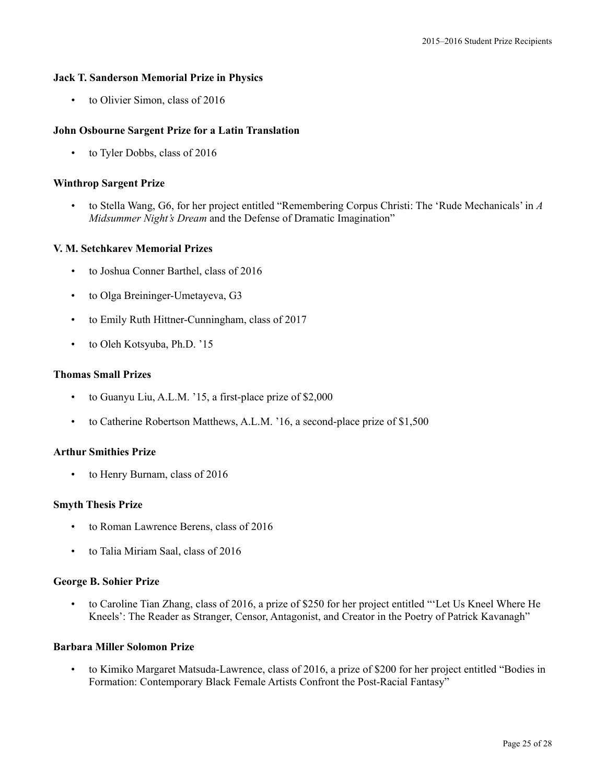#### **Jack T. Sanderson Memorial Prize in Physics**

• to Olivier Simon, class of 2016

#### **John Osbourne Sargent Prize for a Latin Translation**

• to Tyler Dobbs, class of 2016

#### **Winthrop Sargent Prize**

• to Stella Wang, G6, for her project entitled "Remembering Corpus Christi: The 'Rude Mechanicals' in *A Midsummer Night's Dream* and the Defense of Dramatic Imagination"

#### **V. M. Setchkarev Memorial Prizes**

- to Joshua Conner Barthel, class of 2016
- to Olga Breininger-Umetayeva, G3
- to Emily Ruth Hittner-Cunningham, class of 2017
- to Oleh Kotsyuba, Ph.D. '15

#### **Thomas Small Prizes**

- to Guanyu Liu, A.L.M. '15, a first-place prize of \$2,000
- to Catherine Robertson Matthews, A.L.M. '16, a second-place prize of \$1,500

#### **Arthur Smithies Prize**

• to Henry Burnam, class of 2016

#### **Smyth Thesis Prize**

- to Roman Lawrence Berens, class of 2016
- to Talia Miriam Saal, class of 2016

#### **George B. Sohier Prize**

• to Caroline Tian Zhang, class of 2016, a prize of \$250 for her project entitled "'Let Us Kneel Where He Kneels': The Reader as Stranger, Censor, Antagonist, and Creator in the Poetry of Patrick Kavanagh"

#### **Barbara Miller Solomon Prize**

• to Kimiko Margaret Matsuda-Lawrence, class of 2016, a prize of \$200 for her project entitled "Bodies in Formation: Contemporary Black Female Artists Confront the Post-Racial Fantasy"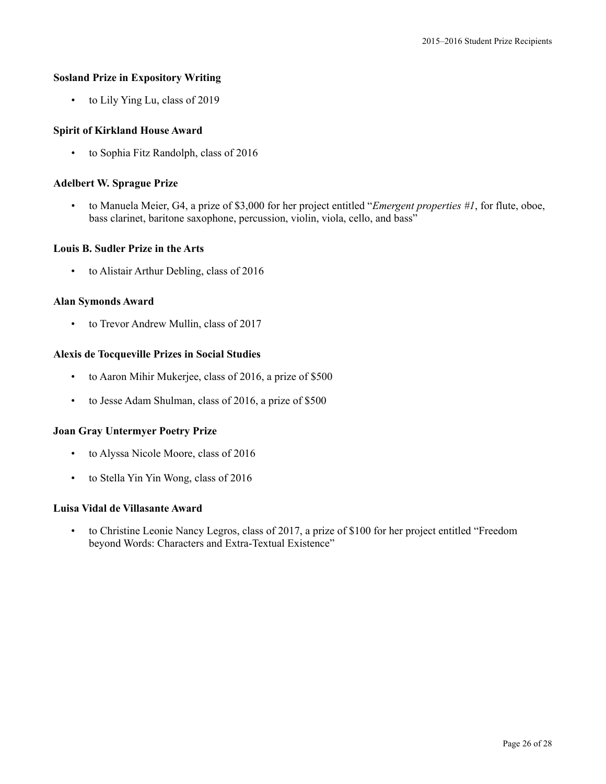### **Sosland Prize in Expository Writing**

• to Lily Ying Lu, class of 2019

### **Spirit of Kirkland House Award**

• to Sophia Fitz Randolph, class of 2016

### **Adelbert W. Sprague Prize**

• to Manuela Meier, G4, a prize of \$3,000 for her project entitled "*Emergent properties #1*, for flute, oboe, bass clarinet, baritone saxophone, percussion, violin, viola, cello, and bass"

#### **Louis B. Sudler Prize in the Arts**

• to Alistair Arthur Debling, class of 2016

### **Alan Symonds Award**

• to Trevor Andrew Mullin, class of 2017

### **Alexis de Tocqueville Prizes in Social Studies**

- to Aaron Mihir Mukerjee, class of 2016, a prize of \$500
- to Jesse Adam Shulman, class of 2016, a prize of \$500

#### **Joan Gray Untermyer Poetry Prize**

- to Alyssa Nicole Moore, class of 2016
- to Stella Yin Yin Wong, class of 2016

# **Luisa Vidal de Villasante Award**

• to Christine Leonie Nancy Legros, class of 2017, a prize of \$100 for her project entitled "Freedom beyond Words: Characters and Extra-Textual Existence"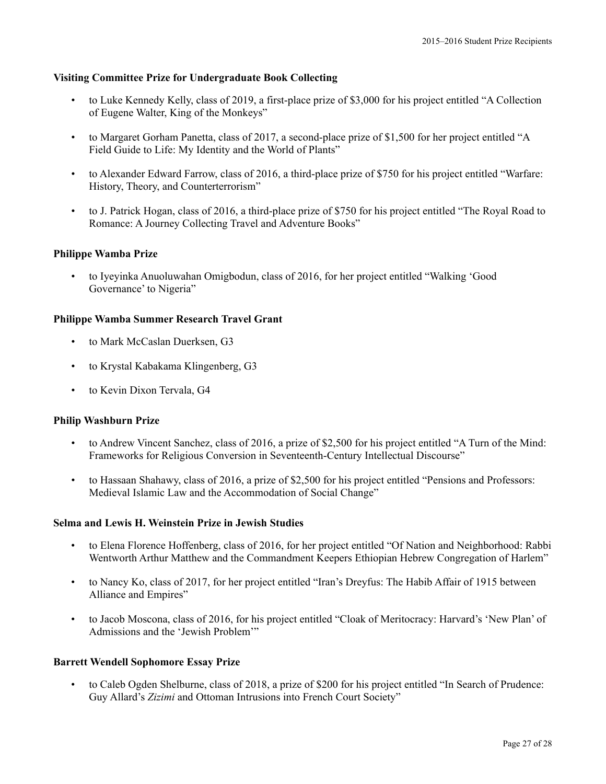### **Visiting Committee Prize for Undergraduate Book Collecting**

- to Luke Kennedy Kelly, class of 2019, a first-place prize of \$3,000 for his project entitled "A Collection of Eugene Walter, King of the Monkeys"
- to Margaret Gorham Panetta, class of 2017, a second-place prize of \$1,500 for her project entitled "A Field Guide to Life: My Identity and the World of Plants"
- to Alexander Edward Farrow, class of 2016, a third-place prize of \$750 for his project entitled "Warfare: History, Theory, and Counterterrorism"
- to J. Patrick Hogan, class of 2016, a third-place prize of \$750 for his project entitled "The Royal Road to Romance: A Journey Collecting Travel and Adventure Books"

### **Philippe Wamba Prize**

• to Iyeyinka Anuoluwahan Omigbodun, class of 2016, for her project entitled "Walking 'Good Governance' to Nigeria"

### **Philippe Wamba Summer Research Travel Grant**

- to Mark McCaslan Duerksen, G3
- to Krystal Kabakama Klingenberg, G3
- to Kevin Dixon Tervala, G4

#### **Philip Washburn Prize**

- to Andrew Vincent Sanchez, class of 2016, a prize of \$2,500 for his project entitled "A Turn of the Mind: Frameworks for Religious Conversion in Seventeenth-Century Intellectual Discourse"
- to Hassaan Shahawy, class of 2016, a prize of \$2,500 for his project entitled "Pensions and Professors: Medieval Islamic Law and the Accommodation of Social Change"

# **Selma and Lewis H. Weinstein Prize in Jewish Studies**

- to Elena Florence Hoffenberg, class of 2016, for her project entitled "Of Nation and Neighborhood: Rabbi Wentworth Arthur Matthew and the Commandment Keepers Ethiopian Hebrew Congregation of Harlem"
- to Nancy Ko, class of 2017, for her project entitled "Iran's Dreyfus: The Habib Affair of 1915 between Alliance and Empires"
- to Jacob Moscona, class of 2016, for his project entitled "Cloak of Meritocracy: Harvard's 'New Plan' of Admissions and the 'Jewish Problem'"

#### **Barrett Wendell Sophomore Essay Prize**

• to Caleb Ogden Shelburne, class of 2018, a prize of \$200 for his project entitled "In Search of Prudence: Guy Allard's *Zizimi* and Ottoman Intrusions into French Court Society"